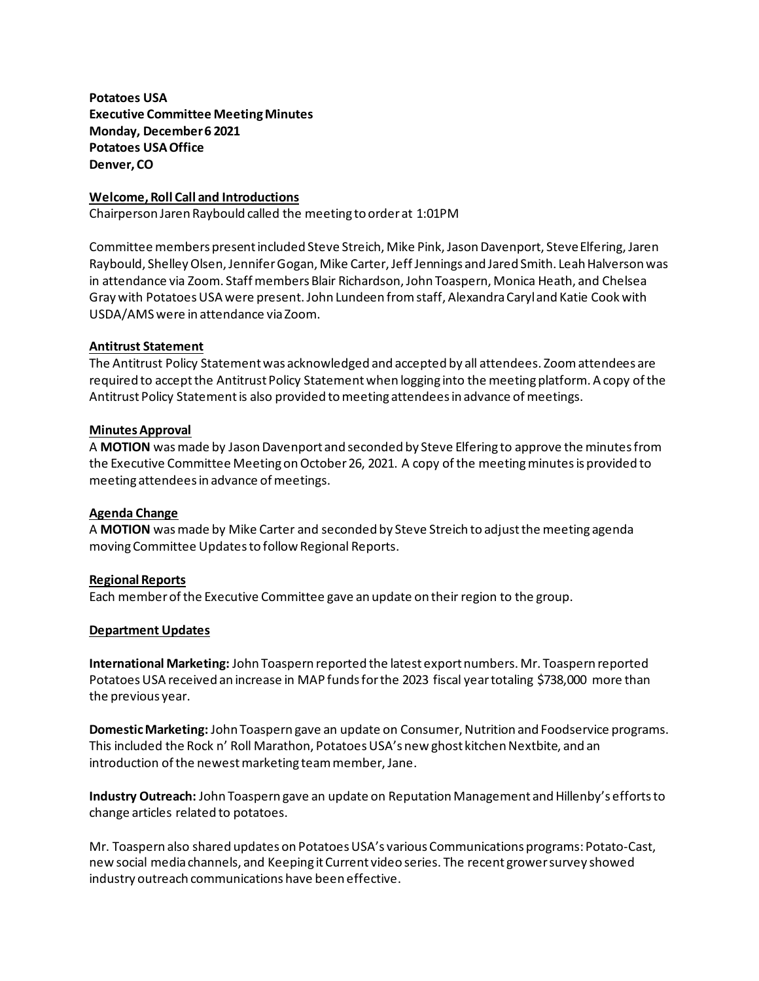**Potatoes USA Executive Committee Meeting Minutes Monday, December 6 2021 Potatoes USA Office Denver, CO**

## **Welcome, Roll Call and Introductions**

Chairperson Jaren Raybould called the meeting to order at 1:01PM

Committee members present included Steve Streich, Mike Pink, Jason Davenport, Steve Elfering,Jaren Raybould, Shelley Olsen, Jennifer Gogan, Mike Carter,Jeff Jennings and Jared Smith. Leah Halverson was in attendance via Zoom. Staff members Blair Richardson, John Toaspern, Monica Heath, and Chelsea Gray with Potatoes USA were present. John Lundeen from staff, Alexandra Caryland Katie Cook with USDA/AMS were in attendance via Zoom.

## **Antitrust Statement**

The Antitrust Policy Statement was acknowledged and accepted by all attendees. Zoom attendees are required to accept the Antitrust Policy Statement when logging into the meeting platform. A copy of the Antitrust Policy Statement is also provided to meeting attendees in advance of meetings.

## **Minutes Approval**

A **MOTION** was made by Jason Davenport and seconded by Steve Elfering to approve the minutes from the Executive Committee Meeting on October 26, 2021. A copy of the meeting minutes is provided to meeting attendees in advance of meetings.

## **Agenda Change**

A **MOTION** was made by Mike Carter and seconded by Steve Streich to adjust the meeting agenda moving Committee Updates to follow Regional Reports.

## **Regional Reports**

Each member of the Executive Committee gave an update on their region to the group.

## **Department Updates**

**International Marketing:** John Toaspern reported the latest export numbers. Mr. Toaspern reported Potatoes USA received an increase in MAP funds for the 2023 fiscal year totaling \$738,000 more than the previous year.

**Domestic Marketing:** John Toaspern gave an update on Consumer, Nutrition and Foodservice programs. This included the Rock n' Roll Marathon, Potatoes USA's new ghost kitchen Nextbite, and an introduction of the newest marketing team member, Jane.

**Industry Outreach:** John Toaspern gave an update on Reputation Management and Hillenby's efforts to change articles related to potatoes.

Mr. Toaspern also shared updates on Potatoes USA's various Communications programs: Potato-Cast, new social media channels, and Keeping it Current video series. The recent grower survey showed industry outreach communications have been effective.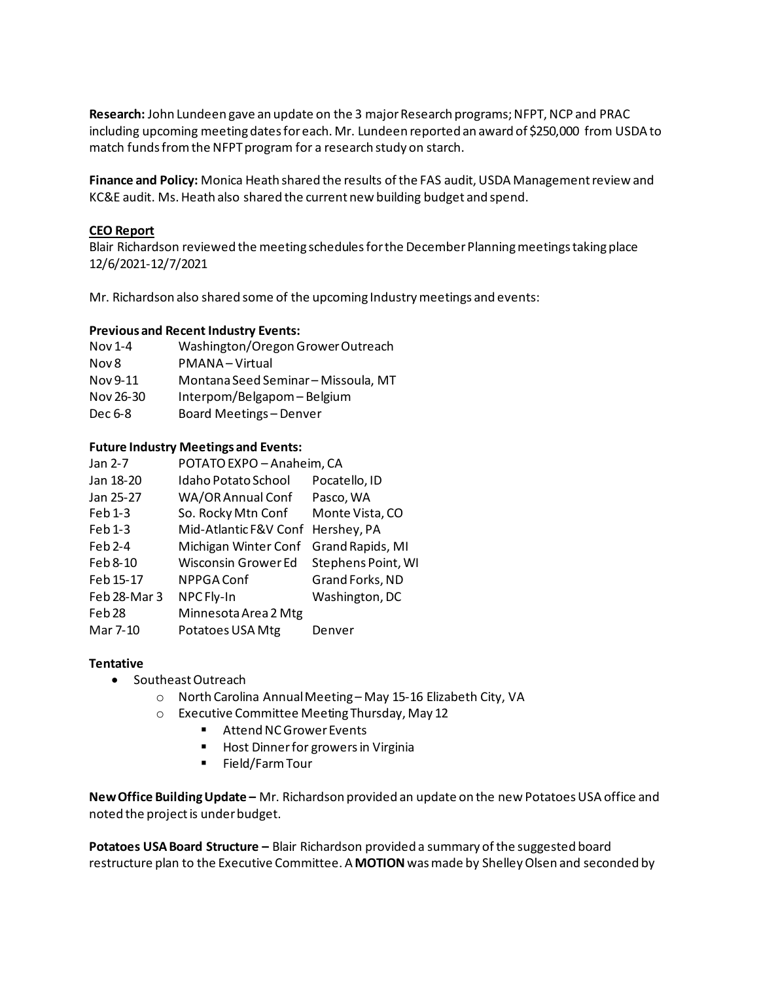**Research:** John Lundeen gave an update on the 3 major Research programs; NFPT, NCP and PRAC including upcoming meeting dates for each. Mr. Lundeen reported an award of \$250,000 from USDA to match funds from the NFPT program for a research study on starch.

**Finance and Policy:** Monica Heath shared the results of the FAS audit, USDA Management review and KC&E audit. Ms. Heath also shared the current new building budget and spend.

## **CEO Report**

Blair Richardson reviewed the meeting schedules for the December Planning meetings taking place 12/6/2021-12/7/2021

Mr. Richardson also shared some of the upcoming Industry meetings and events:

# **Previous and Recent Industry Events:**

Nov 1-4 Washington/Oregon Grower Outreach Nov 8 PMANA – Virtual Nov 9-11 Montana Seed Seminar – Missoula, MT Nov 26-30 Interpom/Belgapom – Belgium

# Dec 6-8 Board Meetings – Denver

# **Future Industry Meetings and Events:**

| Jan 2-7           | POTATO EXPO - Anaheim, CA  |                    |
|-------------------|----------------------------|--------------------|
| Jan 18-20         | Idaho Potato School        | Pocatello, ID      |
| Jan 25-27         | WA/OR Annual Conf          | Pasco, WA          |
| Feb 1-3           | So. Rocky Mtn Conf         | Monte Vista, CO    |
| $Feb1-3$          | Mid-Atlantic F&V Conf      | Hershey, PA        |
| $Feb2-4$          | Michigan Winter Conf       | Grand Rapids, MI   |
| Feb 8-10          | <b>Wisconsin Grower Ed</b> | Stephens Point, WI |
| Feb 15-17         | NPPGA Conf                 | Grand Forks, ND    |
| Feb 28-Mar 3      | NPC Fly-In                 | Washington, DC     |
| Feb <sub>28</sub> | Minnesota Area 2 Mtg       |                    |
| Mar 7-10          | Potatoes USA Mtg           | Denver             |
|                   |                            |                    |

## **Tentative**

- Southeast Outreach
	- o North Carolina Annual Meeting May 15-16 Elizabeth City, VA
	- o Executive Committee Meeting Thursday, May 12
		- Attend NC Grower Events
		- **Host Dinner for growers in Virginia**
		- **Field/Farm Tour**

**New Office Building Update –** Mr. Richardson provided an update on the new Potatoes USA office and noted the project is under budget.

**Potatoes USA Board Structure –** Blair Richardson provided a summary of the suggested board restructure plan to the Executive Committee. A **MOTION**was made by Shelley Olsen and seconded by